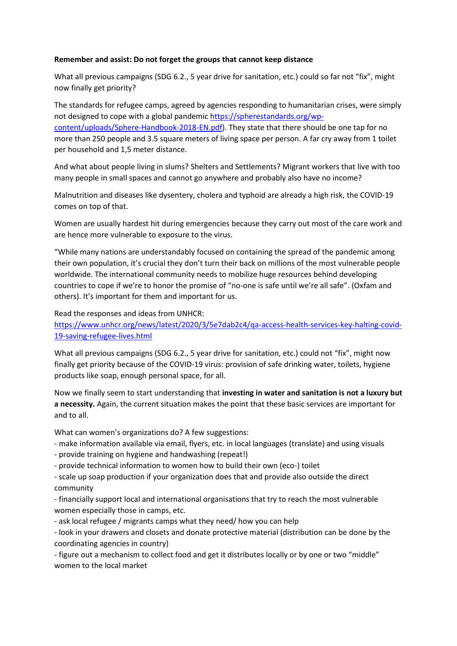## **Remember and assist: Do not forget the groups that cannot keep distance**

What all previous campaigns (SDG 6.2., 5 year drive for sanitation, etc.) could so far not "fix", might now finally get priority?

The standards for refugee camps, agreed by agencies responding to humanitarian crises, were simply not designed to cope with a global pandemic [https://spherestandards.org/wp](https://spherestandards.org/wp-content/uploads/Sphere-Handbook-2018-EN.pdf)[content/uploads/Sphere-Handbook-2018-EN.pdf\)](https://spherestandards.org/wp-content/uploads/Sphere-Handbook-2018-EN.pdf). They state that there should be one tap for no more than 250 people and 3.5 square meters of living space per person. A far cry away from 1 toilet per household and 1,5 meter distance.

And what about people living in slums? Shelters and Settlements? Migrant workers that live with too many people in small spaces and cannot go anywhere and probably also have no income?

Malnutrition and diseases like dysentery, cholera and typhoid are already a high risk, the COVID-19 comes on top of that.

Women are usually hardest hit during emergencies because they carry out most of the care work and are hence more vulnerable to exposure to the virus.

"While many nations are understandably focused on containing the spread of the pandemic among their own population, it's crucial they don't turn their back on millions of the most vulnerable people worldwide. The international community needs to mobilize huge resources behind developing countries to cope if we're to honor the promise of "no-one is safe until we're all safe". (Oxfam and others). It's important for them and important for us.

Read the responses and ideas from UNHCR:

[https://www.unhcr.org/news/latest/2020/3/5e7dab2c4/qa-access-health-services-key-halting-covid-](https://www.unhcr.org/news/latest/2020/3/5e7dab2c4/qa-access-health-services-key-halting-covid-19-saving-refugee-lives.html)[19-saving-refugee-lives.html](https://www.unhcr.org/news/latest/2020/3/5e7dab2c4/qa-access-health-services-key-halting-covid-19-saving-refugee-lives.html)

What all previous campaigns (SDG 6.2., 5 year drive for sanitation, etc.) could not "fix", might now finally get priority because of the COVID-19 virus: provision of safe drinking water, toilets, hygiene products like soap, enough personal space, for all.

Now we finally seem to start understanding that **investing in water and sanitation is not a luxury but a necessity.** Again, the current situation makes the point that these basic services are important for and to all.

What can women's organizations do? A few suggestions:

- make information available via email, flyers, etc. in local languages (translate) and using visuals
- provide training on hygiene and handwashing (repeat!)
- provide technical information to women how to build their own (eco-) toilet

- scale up soap production if your organization does that and provide also outside the direct community

- financially support local and international organisations that try to reach the most vulnerable women especially those in camps, etc.

- ask local refugee / migrants camps what they need/ how you can help

- look in your drawers and closets and donate protective material (distribution can be done by the coordinating agencies in country)

- figure out a mechanism to collect food and get it distributes locally or by one or two "middle" women to the local market